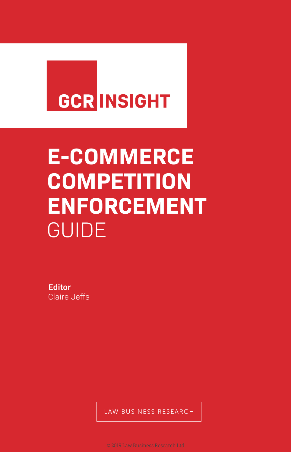## **GCR INSIGHT**

# **E-COMMERCE COMPETITION ENFORCEMENT GUIDE**

**Editor** Claire Jeffs

LAW BUSINESS RESEARCH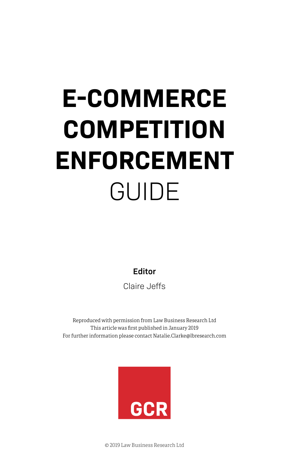# **E-COMMERCE COMPETITION ENFORCEMENT** GUIDE

**Editor**

Claire Jeffs

Reproduced with permission from Law Business Research Ltd This article was first published in January 2019 For further information please contact Natalie.Clarke@lbresearch.com



© 2019 Law Business Research Ltd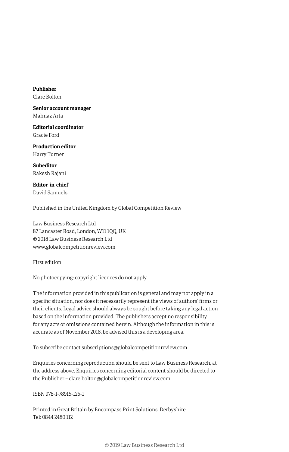**Publisher** Clare Bolton

**Senior account manager** Mahnaz Arta

**Editorial coordinator** Gracie Ford

**Production editor** Harry Turner

**Subeditor** Rakesh Rajani

**Editor-in-chief** David Samuels

Published in the United Kingdom by Global Competition Review

Law Business Research Ltd 87 Lancaster Road, London, W11 1QQ, UK © 2018 Law Business Research Ltd www.globalcompetitionreview.com

First edition

No photocopying: copyright licences do not apply.

The information provided in this publication is general and may not apply in a specific situation, nor does it necessarily represent the views of authors' firms or their clients. Legal advice should always be sought before taking any legal action based on the information provided. The publishers accept no responsibility for any acts or omissions contained herein. Although the information in this is accurate as of November 2018, be advised this is a developing area.

To subscribe contact subscriptions@globalcompetitionreview.com

Enquiries concerning reproduction should be sent to Law Business Research, at the address above. Enquiries concerning editorial content should be directed to the Publisher – clare.bolton@globalcompetitionreview.com

ISBN 978-1-78915-125-1

Printed in Great Britain by Encompass Print Solutions, Derbyshire Tel: 0844 2480 112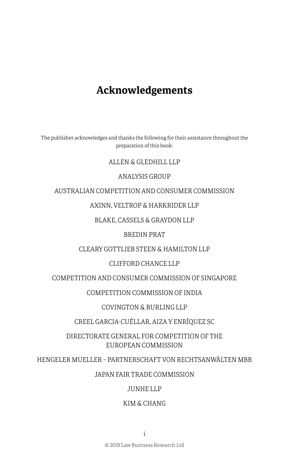### **Acknowledgements**

The publisher acknowledges and thanks the following for their assistance throughout the preparation of this book:

#### ALLEN & GLEDHILL LLP

#### ANALYSIS GROUP

AUSTRALIAN COMPETITION AND CONSUMER COMMISSION

AXINN, VELTROP & HARKRIDER LLP

BLAKE, CASSELS & GRAYDON LLP

#### BREDIN PRAT

CLEARY GOTTLIEB STEEN & HAMILTON LLP

#### CLIFFORD CHANCE LLP

COMPETITION AND CONSUMER COMMISSION OF SINGAPORE

COMPETITION COMMISSION OF INDIA

COVINGTON & BURLING LLP

CREEL GARCIA-CUÉLLAR, AIZA Y ENRÍQUEZ SC

DIRECTORATE GENERAL FOR COMPETITION OF THE EUROPEAN COMMISSION

HENGELER MUELLER – PARTNERSCHAFT VON RECHTSANWÄLTEN MBB

JAPAN FAIR TRADE COMMISSION

#### JUNHE LLP

#### KIM & CHANG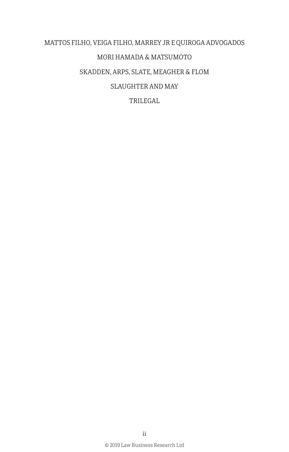## MATTOS FILHO, VEIGA FILHO, MARREY JR E QUIROGA ADVOGADOS MORI HAMADA & MATSUMOTO SKADDEN, ARPS, SLATE, MEAGHER & FLOM SLAUGHTER AND MAY TRILEGAL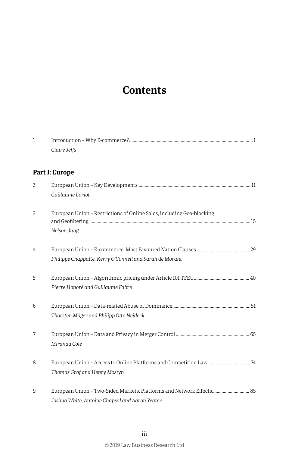## **Contents**

| $\mathbf{1}$ |                                                                                                                        |  |  |  |  |
|--------------|------------------------------------------------------------------------------------------------------------------------|--|--|--|--|
|              | Claire Jeffs                                                                                                           |  |  |  |  |
|              | Part I: Europe                                                                                                         |  |  |  |  |
| 2            | Guillaume Loriot                                                                                                       |  |  |  |  |
| 3            | European Union - Restrictions of Online Sales, including Geo-blocking<br>Nelson Jung                                   |  |  |  |  |
| 4            | Philippe Chappatte, Kerry O'Connell and Sarah de Morant                                                                |  |  |  |  |
| 5            | Pierre Honoré and Guillaume Fabre                                                                                      |  |  |  |  |
| 6            | Thorsten Mäger and Philipp Otto Neideck                                                                                |  |  |  |  |
| 7            | Miranda Cole                                                                                                           |  |  |  |  |
| 8            | Thomas Graf and Henry Mostyn                                                                                           |  |  |  |  |
| 9            | European Union - Two-Sided Markets, Platforms and Network Effects 85<br>Joshua White, Antoine Chapsal and Aaron Yeater |  |  |  |  |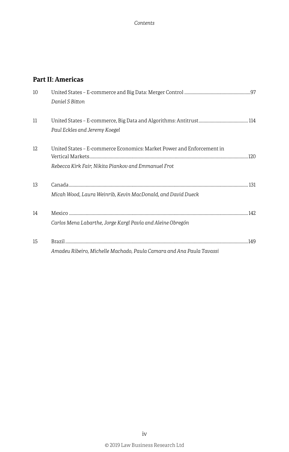#### **Part II: Americas**

| 10 | Daniel S Bitton                                                       |      |
|----|-----------------------------------------------------------------------|------|
|    |                                                                       |      |
| 11 |                                                                       |      |
|    | Paul Eckles and Jeremy Koegel                                         |      |
| 12 | United States - E-commerce Economics: Market Power and Enforcement in |      |
|    |                                                                       |      |
|    | Rebecca Kirk Fair, Nikita Piankov and Emmanuel Frot                   |      |
| 13 |                                                                       |      |
|    | Micah Wood, Laura Weinrib, Kevin MacDonald, and David Dueck           |      |
| 14 |                                                                       |      |
|    | Carlos Mena Labarthe, Jorge Kargl Pavía and Aleine Obregón            |      |
| 15 |                                                                       | .149 |
|    | Amadeu Ribeiro, Michelle Machado, Paula Camara and Ana Paula Tavassi  |      |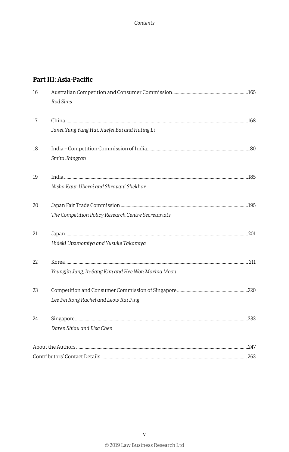#### **Part III: Asia-Pacific**

| 16 | Rod Sims                                            |  |
|----|-----------------------------------------------------|--|
| 17 |                                                     |  |
|    | Janet Yung Yung Hui, Xuefei Bai and Huting Li       |  |
| 18 |                                                     |  |
|    | Smita Jhingran                                      |  |
| 19 |                                                     |  |
|    | Nisha Kaur Uberoi and Shravani Shekhar              |  |
| 20 |                                                     |  |
|    | The Competition Policy Research Centre Secretariats |  |
| 21 |                                                     |  |
|    | Hideki Utsunomiya and Yusuke Takamiya               |  |
| 22 |                                                     |  |
|    | Youngjin Jung, In-Sang Kim and Hee Won Marina Moon  |  |
| 23 |                                                     |  |
|    | Lee Pei Rong Rachel and Leow Rui Ping               |  |
| 24 |                                                     |  |
|    | Daren Shiau and Elsa Chen                           |  |
|    |                                                     |  |
|    |                                                     |  |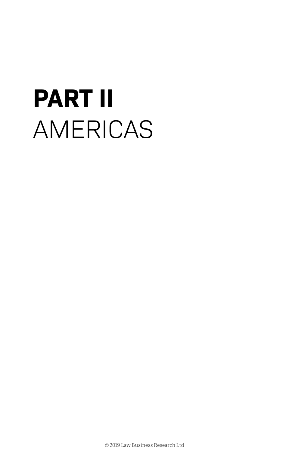# **PART II** AMERICAS

© 2019 Law Business Research Ltd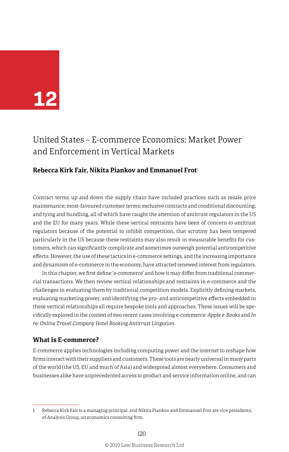## **12**

### United States – E-commerce Economics: Market Power and Enforcement in Vertical Markets

#### **Rebecca Kirk Fair, Nikita Piankov and Emmanuel Frot**<sup>1</sup>

Contract terms up and down the supply chain have included practices such as resale price maintenance; most-favoured customer terms; exclusive contracts and conditional discounting; and tying and bundling, all of which have caught the attention of antitrust regulators in the US and the EU for many years. While these vertical restraints have been of concern to antitrust regulators because of the potential to inhibit competition, that scrutiny has been tempered particularly in the US because these restraints may also result in measurable benefits for customers, which can significantly complicate and sometimes outweigh potential anticompetitive effects. However, the use of these tactics in e-commerce settings, and the increasing importance and dynamism of e-commerce in the economy, have attracted renewed interest from regulators.

In this chapter, we first define 'e-commerce' and how it may differ from traditional commercial transactions. We then review vertical relationships and restraints in e-commerce and the challenges in evaluating them by traditional competition models. Explicitly defining markets, evaluating marketing power, and identifying the pro- and anticompetitive effects embedded in these vertical relationships all require bespoke tools and approaches. These issues will be specifically explored in the context of two recent cases involving e-commerce: *Apple e-Books* and *In re: Online Travel Company Hotel Booking Antitrust Litigation*.

#### **What is E-commerce?**

E-commerce applies technologies including computing power and the internet to reshape how firms interact with their suppliers and customers. These tools are nearly universal in many parts of the world (the US, EU and much of Asia) and widespread almost everywhere. Consumers and businesses alike have unprecedented access to product and service information online, and can

<sup>1</sup> Rebecca Kirk Fair is a managing principal, and Nikita Piankov and Emmanuel Frot are vice presidents, of Analysis Group, an economics consulting firm.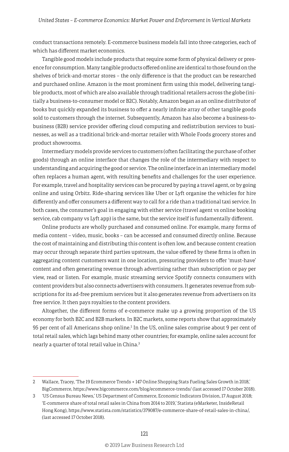conduct transactions remotely. E-commerce business models fall into three categories, each of which has different market economics.

Tangible good models include products that require some form of physical delivery or presence for consumption. Many tangible products offered online are identical to those found on the shelves of brick-and-mortar stores – the only difference is that the product can be researched and purchased online. Amazon is the most prominent firm using this model, delivering tangible products, most of which are also available through traditional retailers across the globe (initially a business-to-consumer model or B2C). Notably, Amazon began as an online distributor of books but quickly expanded its business to offer a nearly infinite array of other tangible goods sold to customers through the internet. Subsequently, Amazon has also become a business-tobusiness (B2B) service provider offering cloud computing and redistribution services to businesses, as well as a traditional brick-and-mortar retailer with Whole Foods grocery stores and product showrooms.

Intermediary models provide services to customers (often facilitating the purchase of other goods) through an online interface that changes the role of the intermediary with respect to understanding and acquiring the good or service. The online interface in an intermediary model often replaces a human agent, with resulting benefits and challenges for the user experience. For example, travel and hospitality services can be procured by paying a travel agent, or by going online and using Orbitz. Ride-sharing services like Uber or Lyft organise the vehicles for hire differently and offer consumers a different way to call for a ride than a traditional taxi service. In both cases, the consumer's goal in engaging with either service (travel agent vs online booking service, cab company vs Lyft app) is the same, but the service itself is fundamentally different.

Online products are wholly purchased and consumed online. For example, many forms of media content – video, music, books – can be accessed and consumed directly online. Because the cost of maintaining and distributing this content is often low, and because content creation may occur through separate third parties upstream, the value offered by these firms is often in aggregating content customers want in one location, pressuring providers to offer 'must-have' content and often generating revenue through advertising rather than subscription or pay per view, read or listen. For example, music streaming service Spotify connects consumers with content providers but also connects advertisers with consumers. It generates revenue from subscriptions for its ad-free premium services but it also generates revenue from advertisers on its free service. It then pays royalties to the content providers.

Altogether, the different forms of e-commerce make up a growing proportion of the US economy for both B2C and B2B markets. In B2C markets, some reports show that approximately 95 per cent of all Americans shop online.<sup>2</sup> In the US, online sales comprise about 9 per cent of total retail sales, which lags behind many other countries; for example, online sales account for nearly a quarter of total retail value in China.3

<sup>2</sup> Wallace, Tracey, 'The 19 Ecommerce Trends + 147 Online Shopping Stats Fueling Sales Growth in 2018,' BigCommerce, https://www.bigcommerce.com/blog/ecommerce-trends/ (last accessed 17 October 2018).

<sup>3</sup> 'US Census Bureau News,' US Department of Commerce, Economic Indicators Division, 17 August 2018; 'E-commerce share of total retail sales in China from 2014 to 2019,' Statista (eMarketer, InsideRetail Hong Kong), https://www.statista.com/statistics/379087/e-commerce-share-of-retail-sales-in-china/, (last accessed 17 October 2018).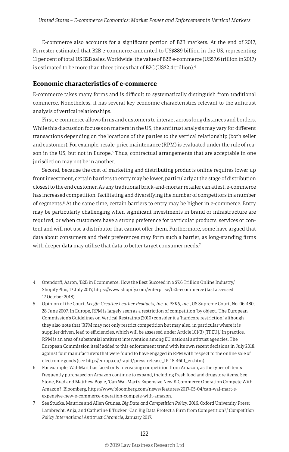E-commerce also accounts for a significant portion of B2B markets. At the end of 2017, Forrester estimated that B2B e-commerce amounted to US\$889 billion in the US, representing 11 per cent of total US B2B sales. Worldwide, the value of B2B e-commerce (US\$7.6 trillion in 2017) is estimated to be more than three times that of B2C (US\$2.4 trillion).4

#### **Economic characteristics of e-commerce**

E-commerce takes many forms and is difficult to systematically distinguish from traditional commerce. Nonetheless, it has several key economic characteristics relevant to the antitrust analysis of vertical relationships.

First, e-commerce allows firms and customers to interact across long distances and borders. While this discussion focuses on matters in the US, the antitrust analysis may vary for different transactions depending on the locations of the parties to the vertical relationship (both seller and customer). For example, resale-price maintenance (RPM) is evaluated under the rule of reason in the US, but not in Europe.<sup>5</sup> Thus, contractual arrangements that are acceptable in one jurisdiction may not be in another.

Second, because the cost of marketing and distributing products online requires lower up front investment, certain barriers to entry may be lower, particularly at the stage of distribution closest to the end customer. As any traditional brick-and-mortar retailer can attest, e-commerce has increased competition, facilitating and diversifying the number of competitors in a number of segments.<sup>6</sup> At the same time, certain barriers to entry may be higher in e-commerce. Entry may be particularly challenging when significant investments in brand or infrastructure are required, or when customers have a strong preference for particular products, services or content and will not use a distributor that cannot offer them. Furthermore, some have argued that data about consumers and their preferences may form such a barrier, as long-standing firms with deeper data may utilise that data to better target consumer needs.<sup>7</sup>

<sup>4</sup> Orendorff, Aaron, 'B2B in Ecommerce: How the Best Succeed in a \$7.6 Trillion Online Industry,' ShopifyPlus, 17 July 2017, https://www.shopify.com/enterprise/b2b-ecommerce (last accessed 17 October 2018).

<sup>5</sup> Opinion of the Court, *Leegin Creative Leather Products, Inc. v. PSKS, Inc.*, US Supreme Court, No. 06-480, 28 June 2007. In Europe, RPM is largely seen as a restriction of competition 'by object.' The European Commission's Guidelines on Vertical Restraints (2010) consider it a 'hardcore restriction,' although they also note that 'RPM may not only restrict competition but may also, in particular where it is supplier driven, lead to efficiencies, which will be assessed under Article 101(3) [TFEU].' In practice, RPM is an area of substantial antitrust intervention among EU national antitrust agencies. The European Commission itself added to this enforcement trend with its own recent decisions in July 2018, against four manufacturers that were found to have engaged in RPM with respect to the online sale of electronic goods (see http://europa.eu/rapid/press-release\_IP-18-4601\_en.htm).

<sup>6</sup> For example, Wal-Mart has faced only increasing competition from Amazon, as the types of items frequently purchased on Amazon continue to expand, including fresh food and drugstore items. See Stone, Brad and Matthew Boyle, 'Can Wal-Mart's Expensive New E-Commerce Operation Compete With Amazon?' Bloomberg, https://www.bloomberg.com/news/features/2017-05-04/can-wal-mart-sexpensive-new-e-commerce-operation-compete-with-amazon.

<sup>7</sup> See Stucke, Maurice and Allen Grunes, *Big Data and Competition Policy*, 2016, Oxford University Press; Lambrecht, Anja, and Catherine E Tucker, 'Can Big Data Protect a Firm from Competition?,' *Competition Policy International Antitrust Chronicle*, January 2017.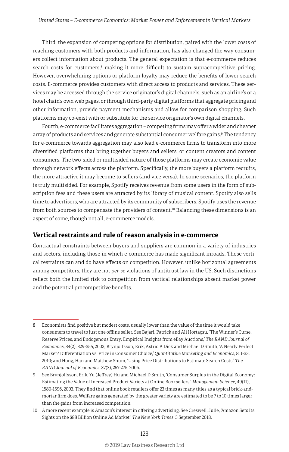Third, the expansion of competing options for distribution, paired with the lower costs of reaching customers with both products and information, has also changed the way consumers collect information about products. The general expectation is that e-commerce reduces search costs for customers,<sup>8</sup> making it more difficult to sustain supracompetitive pricing. However, overwhelming options or platform loyalty may reduce the benefits of lower search costs. E-commerce provides customers with direct access to products and services. These services may be accessed through the service originator's digital channels, such as an airline's or a hotel chain's own web pages, or through third-party digital platforms that aggregate pricing and other information, provide payment mechanisms and allow for comparison shopping. Such platforms may co-exist with or substitute for the service originator's own digital channels.

Fourth, e-commerce facilitates aggregation – competing firms may offer a wider and cheaper array of products and services and generate substantial consumer welfare gains.<sup>9</sup> The tendency for e-commerce towards aggregation may also lead e-commerce firms to transform into more diversified platforms that bring together buyers and sellers, or content creators and content consumers. The two-sided or multisided nature of those platforms may create economic value through network effects across the platform. Specifically, the more buyers a platform recruits, the more attractive it may become to sellers (and vice versa). In some scenarios, the platform is truly multisided. For example, Spotify receives revenue from some users in the form of subscription fees and these users are attracted by its library of musical content. Spotify also sells time to advertisers, who are attracted by its community of subscribers. Spotify uses the revenue from both sources to compensate the providers of content.<sup>10</sup> Balancing these dimensions is an aspect of some, though not all, e-commerce models.

#### **Vertical restraints and rule of reason analysis in e-commerce**

Contractual constraints between buyers and suppliers are common in a variety of industries and sectors, including those in which e-commerce has made significant inroads. Those vertical restraints can and do have effects on competition. However, unlike horizontal agreements among competitors, they are not *per se* violations of antitrust law in the US. Such distinctions reflect both the limited risk to competition from vertical relationships absent market power and the potential procompetitive benefits.

<sup>8</sup> Economists find positive but modest costs, usually lower than the value of the time it would take consumers to travel to just one offline seller. See Bajari, Patrick and Ali Hortaçsu, 'The Winner's Curse, Reserve Prices, and Endogenous Entry: Empirical Insights from eBay Auctions,' *The RAND Journal of Economics*, 34(2), 329-355, 2003; Brynjolfsson, Erik, Astrid A Dick and Michael D Smith, 'A Nearly Perfect Market? Differentiation vs. Price in Consumer Choice,' *Quantitative Marketing and Economics*, 8, 1-33, 2010; and Hong, Han and Matthew Shum, 'Using Price Distributions to Estimate Search Costs,' *The RAND Journal of Economics*, 37(2), 257-275, 2006.

<sup>9</sup> See Brynjolfsson, Erik, Yu (Jeffrey) Hu and Michael D Smith, 'Consumer Surplus in the Digital Economy: Estimating the Value of Increased Product Variety at Online Booksellers,' *Management Science*, 49(11), 1580-1596, 2003. They find that online book retailers offer 23 times as many titles as a typical brick-andmortar firm does. Welfare gains generated by the greater variety are estimated to be 7 to 10 times larger than the gains from increased competition.

<sup>10</sup> A more recent example is Amazon's interest in offering advertising. See Creswell, Julie, 'Amazon Sets Its Sights on the \$88 Billion Online Ad Market,' *The New York Times*, 3 September 2018.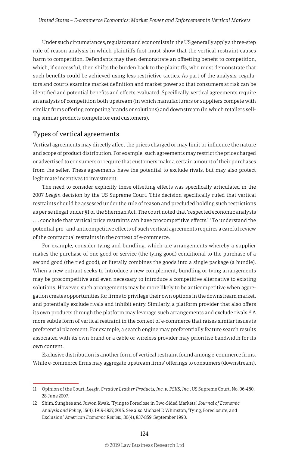Under such circumstances, regulators and economists in the US generally apply a three-step rule of reason analysis in which plaintiffs first must show that the vertical restraint causes harm to competition. Defendants may then demonstrate an offsetting benefit to competition, which, if successful, then shifts the burden back to the plaintiffs, who must demonstrate that such benefits could be achieved using less restrictive tactics. As part of the analysis, regulators and courts examine market definition and market power so that consumers at risk can be identified and potential benefits and effects evaluated. Specifically, vertical agreements require an analysis of competition both upstream (in which manufacturers or suppliers compete with similar firms offering competing brands or solutions) and downstream (in which retailers selling similar products compete for end customers).

#### Types of vertical agreements

Vertical agreements may directly affect the prices charged or may limit or influence the nature and scope of product distribution. For example, such agreements may restrict the price charged or advertised to consumers or require that customers make a certain amount of their purchases from the seller. These agreements have the potential to exclude rivals, but may also protect legitimate incentives to investment.

The need to consider explicitly these offsetting effects was specifically articulated in the 2007 *Leegin* decision by the US Supreme Court. This decision specifically ruled that vertical restraints should be assessed under the rule of reason and precluded holding such restrictions as per se illegal under §1 of the Sherman Act. The court noted that 'respected economic analysts . . . conclude that vertical price restraints can have procompetitive effects.'11 To understand the potential pro- and anticompetitive effects of such vertical agreements requires a careful review of the contractual restraints in the context of e-commerce.

For example, consider tying and bundling, which are arrangements whereby a supplier makes the purchase of one good or service (the tying good) conditional to the purchase of a second good (the tied good), or literally combines the goods into a single package (a bundle). When a new entrant seeks to introduce a new complement, bundling or tying arrangements may be procompetitive and even necessary to introduce a competitive alternative to existing solutions. However, such arrangements may be more likely to be anticompetitive when aggregation creates opportunities for firms to privilege their own options in the downstream market, and potentially exclude rivals and inhibit entry. Similarly, a platform provider that also offers its own products through the platform may leverage such arrangements and exclude rivals.<sup>12</sup> A more subtle form of vertical restraint in the context of e-commerce that raises similar issues is preferential placement. For example, a search engine may preferentially feature search results associated with its own brand or a cable or wireless provider may prioritise bandwidth for its own content.

Exclusive distribution is another form of vertical restraint found among e-commerce firms. While e-commerce firms may aggregate upstream firms' offerings to consumers (downstream),

<sup>11</sup> Opinion of the Court, *Leegin Creative Leather Products, Inc. v. PSKS, Inc.*, US Supreme Court, No. 06-480, 28 June 2007.

<sup>12</sup> Shim, Sunghee and Juwon Kwak, 'Tying to Foreclose in Two-Sided Markets,' *Journal of Economic Analysis and Policy*, 15(4), 1919-1937, 2015. See also Michael D Whinston, 'Tying, Foreclosure, and Exclusion,' *American Economic Review,* 80(4), 837-859, September 1990.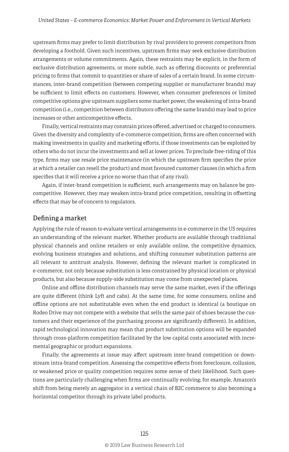upstream firms may prefer to limit distribution by rival providers to prevent competitors from developing a foothold. Given such incentives, upstream firms may seek exclusive distribution arrangements or volume commitments. Again, these restraints may be explicit, in the form of exclusive distribution agreements, or more subtle, such as offering discounts or preferential pricing to firms that commit to quantities or share of sales of a certain brand. In some circumstances, inter-brand competition (between competing supplier or manufacturer brands) may be sufficient to limit effects on customers. However, when consumer preferences or limited competitive options give upstream suppliers some market power, the weakening of intra-brand competition (i.e., competition between distributors offering the same brands) may lead to price increases or other anticompetitive effects.

Finally, vertical restraints may constrain prices offered, advertised or charged to consumers. Given the diversity and complexity of e-commerce competition, firms are often concerned with making investments in quality and marketing efforts, if those investments can be exploited by others who do not incur the investments and sell at lower prices. To preclude free-riding of this type, firms may use resale price maintenance (in which the upstream firm specifies the price at which a retailer can resell the product) and most favoured customer clauses (in which a firm specifies that it will receive a price no worse than that of any rival).

Again, if inter-brand competition is sufficient, such arrangements may on balance be procompetitive. However, they may weaken intra-brand price competition, resulting in offsetting effects that may be of concern to regulators.

#### Defining a market

Applying the rule of reason to evaluate vertical arrangements in e-commerce in the US requires an understanding of the relevant market. Whether products are available through traditional physical channels and online retailers or only available online, the competitive dynamics, evolving business strategies and solutions, and shifting consumer substitution patterns are all relevant to antitrust analysis. However, defining the relevant market is complicated in e-commerce, not only because substitution is less constrained by physical location or physical products, but also because supply-side substitution may come from unexpected places.

Online and offline distribution channels may serve the same market, even if the offerings are quite different (think Lyft and cabs). At the same time, for some consumers, online and offline options are not substitutable even when the end product is identical (a boutique on Rodeo Drive may not compete with a website that sells the same pair of shoes because the customers and their experience of the purchasing process are significantly different). In addition, rapid technological innovation may mean that product substitution options will be expanded through cross-platform competition facilitated by the low capital costs associated with incremental geographic or product expansions.

Finally, the agreements at issue may affect upstream inter-brand competition or downstream intra-brand competition. Assessing the competitive effects from foreclosure, collusion, or weakened price or quality competition requires some sense of their likelihood. Such questions are particularly challenging when firms are continually evolving; for example, Amazon's shift from being merely an aggregator in a vertical chain of B2C commerce to also becoming a horizontal competitor through its private label products.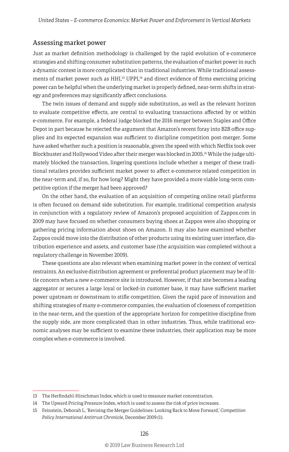#### Assessing market power

Just as market definition methodology is challenged by the rapid evolution of e-commerce strategies and shifting consumer substitution patterns, the evaluation of market power in such a dynamic context is more complicated than in traditional industries. While traditional assessments of market power such as  $HHI<sub>13</sub> UPPI<sub>14</sub>$  and direct evidence of firms exercising pricing power can be helpful when the underlying market is properly defined, near-term shifts in strategy and preferences may significantly affect conclusions.

The twin issues of demand and supply side substitution, as well as the relevant horizon to evaluate competitive effects, are central to evaluating transactions affected by or within e-commerce. For example, a federal judge blocked the 2016 merger between Staples and Office Depot in part because he rejected the argument that Amazon's recent foray into B2B office supplies and its expected expansion was sufficient to discipline competition post-merger. Some have asked whether such a position is reasonable, given the speed with which Netflix took over Blockbuster and Hollywood Video after their merger was blocked in 2005.15 While the judge ultimately blocked the transaction, lingering questions include whether a merger of these traditional retailers provides sufficient market power to affect e-commerce related competition in the near-term and, if so, for how long? Might they have provided a more viable long-term competitive option if the merger had been approved?

On the other hand, the evaluation of an acquisition of competing online retail platforms is often focused on demand side substitution. For example, traditional competition analysis in conjunction with a regulatory review of Amazon's proposed acquisition of Zappos.com in 2009 may have focused on whether consumers buying shoes at Zappos were also shopping or gathering pricing information about shoes on Amazon. It may also have examined whether Zappos could move into the distribution of other products using its existing user interface, distribution experience and assets, and customer base (the acquisition was completed without a regulatory challenge in November 2009).

These questions are also relevant when examining market power in the context of vertical restraints. An exclusive distribution agreement or preferential product placement may be of little concern when a new e-commerce site is introduced. However, if that site becomes a leading aggregator or secures a large loyal or locked-in customer base, it may have sufficient market power upstream or downstream to stifle competition. Given the rapid pace of innovation and shifting strategies of many e-commerce companies, the evaluation of closeness of competition in the near-term, and the question of the appropriate horizon for competitive discipline from the supply side, are more complicated than in other industries. Thus, while traditional economic analyses may be sufficient to examine these industries, their application may be more complex when e-commerce is involved.

<sup>13</sup> The Herfindahl-Hirschman Index, which is used to measure market concentration.

<sup>14</sup> The Upward Pricing Pressure Index, which is used to assess the risk of price increases.

<sup>15</sup> Feinstein, Deborah L, 'Revising the Merger Guidelines: Looking Back to Move Forward,' *Competition Policy International Antitrust Chronicle*, December 2009 (1).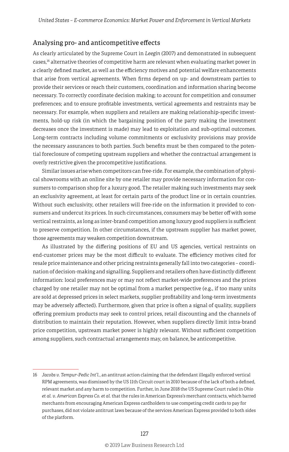#### Analysing pro- and anticompetitive effects

As clearly articulated by the Supreme Court in *Leegin* (2007) and demonstrated in subsequent cases,16 alternative theories of competitive harm are relevant when evaluating market power in a clearly defined market, as well as the efficiency motives and potential welfare enhancements that arise from vertical agreements. When firms depend on up- and downstream parties to provide their services or reach their customers, coordination and information sharing become necessary. To correctly coordinate decision making; to account for competition and consumer preferences; and to ensure profitable investments, vertical agreements and restraints may be necessary. For example, when suppliers and retailers are making relationship-specific investments, hold-up risk (in which the bargaining position of the party making the investment decreases once the investment is made) may lead to exploitation and sub-optimal outcomes. Long-term contracts including volume commitments or exclusivity provisions may provide the necessary assurances to both parties. Such benefits must be then compared to the potential foreclosure of competing upstream suppliers and whether the contractual arrangement is overly restrictive given the procompetitive justifications.

Similar issues arise when competitors can free-ride. For example, the combination of physical showrooms with an online site by one retailer may provide necessary information for consumers to comparison shop for a luxury good. The retailer making such investments may seek an exclusivity agreement, at least for certain parts of the product line or in certain countries. Without such exclusivity, other retailers will free-ride on the information it provided to consumers and undercut its prices. In such circumstances, consumers may be better off with some vertical restraints, as long as inter-brand competition among luxury good suppliers is sufficient to preserve competition. In other circumstances, if the upstream supplier has market power, those agreements may weaken competition downstream.

As illustrated by the differing positions of EU and US agencies, vertical restraints on end-customer prices may be the most difficult to evaluate. The efficiency motives cited for resale price maintenance and other pricing restraints generally fall into two categories – coordination of decision-making and signalling. Suppliers and retailers often have distinctly different information: local preferences may or may not reflect market-wide preferences and the prices charged by one retailer may not be optimal from a market perspective (e.g., if too many units are sold at depressed prices in select markets, supplier profitability and long-term investments may be adversely affected). Furthermore, given that price is often a signal of quality, suppliers offering premium products may seek to control prices, retail discounting and the channels of distribution to maintain their reputation. However, when suppliers directly limit intra-brand price competition, upstream market power is highly relevant. Without sufficient competition among suppliers, such contractual arrangements may, on balance, be anticompetitive.

<sup>16</sup> *Jacobs v. Tempur-Pedic Int'l.*, an antitrust action claiming that the defendant illegally enforced vertical RPM agreements, was dismissed by the US 11th Circuit court in 2010 because of the lack of both a defined, relevant market and any harm to competition. Further, in June 2018 the US Supreme Court ruled in *Ohio et al. v. American Express Co. et al.* that the rules in American Express's merchant contracts, which barred merchants from encouraging American Express cardholders to use competing credit cards to pay for purchases, did not violate antitrust laws because of the services American Express provided to both sides of the platform.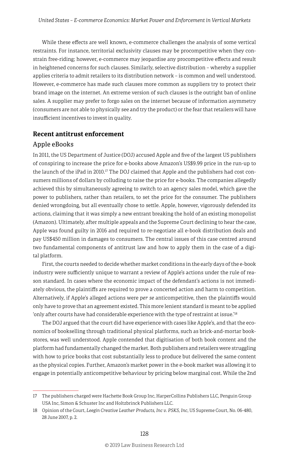While these effects are well known, e-commerce challenges the analysis of some vertical restraints. For instance, territorial exclusivity clauses may be procompetitive when they constrain free-riding; however, e-commerce may jeopardise any procompetitive effects and result in heightened concerns for such clauses. Similarly, selective distribution – whereby a supplier applies criteria to admit retailers to its distribution network – is common and well understood. However, e-commerce has made such clauses more common as suppliers try to protect their brand image on the internet. An extreme version of such clauses is the outright ban of online sales. A supplier may prefer to forgo sales on the internet because of information asymmetry (consumers are not able to physically see and try the product) or the fear that retailers will have insufficient incentives to invest in quality.

#### **Recent antitrust enforcement**

#### Apple eBooks

In 2011, the US Department of Justice (DOJ) accused Apple and five of the largest US publishers of conspiring to increase the price for e-books above Amazon's US\$9.99 price in the run-up to the launch of the iPad in 2010.<sup>17</sup> The DOJ claimed that Apple and the publishers had cost consumers millions of dollars by colluding to raise the price for e-books. The companies allegedly achieved this by simultaneously agreeing to switch to an agency sales model, which gave the power to publishers, rather than retailers, to set the price for the consumer. The publishers denied wrongdoing, but all eventually chose to settle. Apple, however, vigorously defended its actions, claiming that it was simply a new entrant breaking the hold of an existing monopolist (Amazon). Ultimately, after multiple appeals and the Supreme Court declining to hear the case, Apple was found guilty in 2016 and required to re-negotiate all e-book distribution deals and pay US\$450 million in damages to consumers. The central issues of this case centred around two fundamental components of antitrust law and how to apply them in the case of a digital platform.

First, the courts needed to decide whether market conditions in the early days of the e-book industry were sufficiently unique to warrant a review of Apple's actions under the rule of reason standard. In cases where the economic impact of the defendant's actions is not immediately obvious, the plaintiffs are required to prove a concerted action and harm to competition. Alternatively, if Apple's alleged actions were *per se* anticompetitive, then the plaintiffs would only have to prove that an agreement existed. This more lenient standard is meant to be applied 'only after courts have had considerable experience with the type of restraint at issue.'18

The DOJ argued that the court did have experience with cases like Apple's, and that the economics of bookselling through traditional physical platforms, such as brick-and-mortar bookstores, was well understood. Apple contended that digitisation of both book content and the platform had fundamentally changed the market. Both publishers and retailers were struggling with how to price books that cost substantially less to produce but delivered the same content as the physical copies. Further, Amazon's market power in the e-book market was allowing it to engage in potentially anticompetitive behaviour by pricing below marginal cost. While the 2nd

<sup>17</sup> The publishers charged were Hachette Book Group Inc, HarperCollins Publishers LLC, Penguin Group USA Inc, Simon & Schuster Inc and Holtzbrinck Publishers LLC.

<sup>18</sup> Opinion of the Court, *Leegin Creative Leather Products, Inc v. PSKS, Inc*, US Supreme Court, No. 06-480, 28 June 2007, p. 2.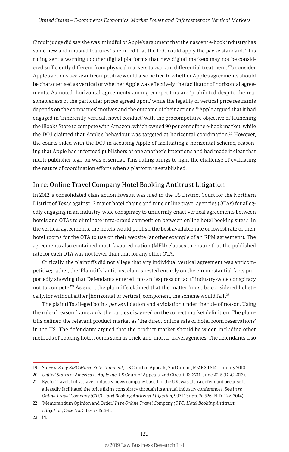Circuit judge did say she was 'mindful of Apple's argument that the nascent e-book industry has some new and unusual features,' she ruled that the DOJ could apply the *per se* standard. This ruling sent a warning to other digital platforms that new digital markets may not be considered sufficiently different from physical markets to warrant differential treatment. To consider Apple's actions *per se* anticompetitive would also be tied to whether Apple's agreements should be characterised as vertical or whether Apple was effectively the facilitator of horizontal agreements. As noted, horizontal agreements among competitors are 'prohibited despite the reasonableness of the particular prices agreed upon,' while the legality of vertical price restraints depends on the companies' motives and the outcome of their actions.19 Apple argued that it had engaged in 'inherently vertical, novel conduct' with the procompetitive objective of launching the iBooks Store to compete with Amazon, which owned 90 per cent of the e-book market, while the DOJ claimed that Apple's behaviour was targeted at horizontal coordination.<sup>20</sup> However, the courts sided with the DOJ in accusing Apple of facilitating a horizontal scheme, reasoning that Apple had informed publishers of one another's intentions and had made it clear that multi-publisher sign-on was essential. This ruling brings to light the challenge of evaluating the nature of coordination efforts when a platform is established.

#### In re: Online Travel Company Hotel Booking Antitrust Litigation

In 2012, a consolidated class action lawsuit was filed in the US District Court for the Northern District of Texas against 12 major hotel chains and nine online travel agencies (OTAs) for allegedly engaging in an industry-wide conspiracy to uniformly enact vertical agreements between hotels and OTAs to eliminate intra-brand competition between online hotel booking sites.<sup>21</sup> In the vertical agreements, the hotels would publish the best available rate or lowest rate of their hotel rooms for the OTA to use on their website (another example of an RPM agreement). The agreements also contained most favoured nation (MFN) clauses to ensure that the published rate for each OTA was not lower than that for any other OTA.

Critically, the plaintiffs did not allege that any individual vertical agreement was anticompetitive; rather, the 'Plaintiffs' antitrust claims rested entirely on the circumstantial facts purportedly showing that Defendants entered into an "express or tacit" industry-wide conspiracy not to compete.<sup> $22$ </sup> As such, the plaintiffs claimed that the matter 'must be considered holistically, for without either [horizontal or vertical] component, the scheme would fail'.<sup>23</sup>

The plaintiffs alleged both a *per se* violation and a violation under the rule of reason. Using the rule of reason framework, the parties disagreed on the correct market definition. The plaintiffs defined the relevant product market as 'the direct online sale of hotel room reservations' in the US. The defendants argued that the product market should be wider, including other methods of booking hotel rooms such as brick-and-mortar travel agencies. The defendants also

<sup>19</sup> *Starr v. Sony BMG Music Entertainment*, US Court of Appeals, 2nd Circuit, 592 F.3d 314, January 2010.

<sup>20</sup> *United States of America v. Apple Inc*, US Court of Appeals, 2nd Circuit, 13-3741, June 2015 (DLC 2013).

<sup>21</sup> EyeforTravel, Ltd, a travel industry news company based in the UK, was also a defendant because it allegedly facilitated the price fixing conspiracy through its annual industry conferences. See *In re Online Travel Company (OTC) Hotel Booking Antitrust Litigation*, 997 F. Supp. 2d 526 (N.D. Tex. 2014).

<sup>22</sup> 'Memorandum Opinion and Order,' *In re Online Travel Company (OTC) Hotel Booking Antitrust Litigation*, Case No. 3:12-cv-3513-B.

<sup>23</sup> id.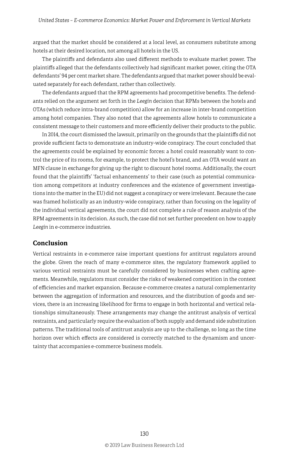argued that the market should be considered at a local level, as consumers substitute among hotels at their desired location, not among all hotels in the US.

The plaintiffs and defendants also used different methods to evaluate market power. The plaintiffs alleged that the defendants collectively had significant market power, citing the OTA defendants' 94 per cent market share. The defendants argued that market power should be evaluated separately for each defendant, rather than collectively.

The defendants argued that the RPM agreements had procompetitive benefits. The defendants relied on the argument set forth in the *Leegin* decision that RPMs between the hotels and OTAs (which reduce intra-brand competition) allow for an increase in inter-brand competition among hotel companies. They also noted that the agreements allow hotels to communicate a consistent message to their customers and more efficiently deliver their products to the public.

In 2014, the court dismissed the lawsuit, primarily on the grounds that the plaintiffs did not provide sufficient facts to demonstrate an industry-wide conspiracy. The court concluded that the agreements could be explained by economic forces: a hotel could reasonably want to control the price of its rooms, for example, to protect the hotel's brand, and an OTA would want an MFN clause in exchange for giving up the right to discount hotel rooms. Additionally, the court found that the plaintiffs' 'factual enhancements' to their case (such as potential communication among competitors at industry conferences and the existence of government investigations into the matter in the EU) did not suggest a conspiracy or were irrelevant. Because the case was framed holistically as an industry-wide conspiracy, rather than focusing on the legality of the individual vertical agreements, the court did not complete a rule of reason analysis of the RPM agreements in its decision. As such, the case did not set further precedent on how to apply *Leegin* in e-commerce industries.

#### **Conclusion**

Vertical restraints in e-commerce raise important questions for antitrust regulators around the globe. Given the reach of many e-commerce sites, the regulatory framework applied to various vertical restraints must be carefully considered by businesses when crafting agreements. Meanwhile, regulators must consider the risks of weakened competition in the context of efficiencies and market expansion. Because e-commerce creates a natural complementarity between the aggregation of information and resources, and the distribution of goods and services, there is an increasing likelihood for firms to engage in both horizontal and vertical relationships simultaneously. These arrangements may change the antitrust analysis of vertical restraints, and particularly require the evaluation of both supply and demand side substitution patterns. The traditional tools of antitrust analysis are up to the challenge, so long as the time horizon over which effects are considered is correctly matched to the dynamism and uncertainty that accompanies e-commerce business models.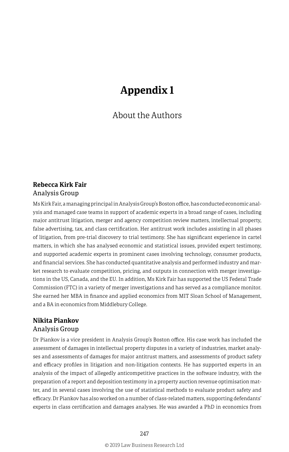## **Appendix 1**

#### About the Authors

#### **Rebecca Kirk Fair** Analysis Group

Ms Kirk Fair, a managing principal in Analysis Group's Boston office, has conducted economic analysis and managed case teams in support of academic experts in a broad range of cases, including major antitrust litigation, merger and agency competition review matters, intellectual property, false advertising, tax, and class certification. Her antitrust work includes assisting in all phases of litigation, from pre-trial discovery to trial testimony. She has significant experience in cartel matters, in which she has analysed economic and statistical issues, provided expert testimony, and supported academic experts in prominent cases involving technology, consumer products, and financial services. She has conducted quantitative analysis and performed industry and market research to evaluate competition, pricing, and outputs in connection with merger investigations in the US, Canada, and the EU. In addition, Ms Kirk Fair has supported the US Federal Trade Commission (FTC) in a variety of merger investigations and has served as a compliance monitor. She earned her MBA in finance and applied economics from MIT Sloan School of Management, and a BA in economics from Middlebury College.

## **Nikita Piankov**

#### Analysis Group

Dr Piankov is a vice president in Analysis Group's Boston office. His case work has included the assessment of damages in intellectual property disputes in a variety of industries, market analyses and assessments of damages for major antitrust matters, and assessments of product safety and efficacy profiles in litigation and non-litigation contexts. He has supported experts in an analysis of the impact of allegedly anticompetitive practices in the software industry, with the preparation of a report and deposition testimony in a property auction revenue optimisation matter, and in several cases involving the use of statistical methods to evaluate product safety and efficacy. Dr Piankov has also worked on a number of class-related matters, supporting defendants' experts in class certification and damages analyses. He was awarded a PhD in economics from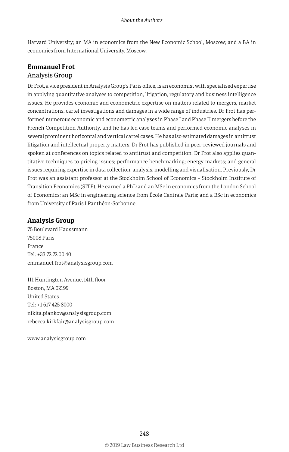Harvard University; an MA in economics from the New Economic School, Moscow; and a BA in economics from International University, Moscow.

#### **Emmanuel Frot** Analysis Group

Dr Frot, a vice president in Analysis Group's Paris office, is an economist with specialised expertise in applying quantitative analyses to competition, litigation, regulatory and business intelligence issues. He provides economic and econometric expertise on matters related to mergers, market concentrations, cartel investigations and damages in a wide range of industries. Dr Frot has performed numerous economic and econometric analyses in Phase I and Phase II mergers before the French Competition Authority, and he has led case teams and performed economic analyses in several prominent horizontal and vertical cartel cases. He has also estimated damages in antitrust litigation and intellectual property matters. Dr Frot has published in peer-reviewed journals and spoken at conferences on topics related to antitrust and competition. Dr Frot also applies quantitative techniques to pricing issues; performance benchmarking; energy markets; and general issues requiring expertise in data collection, analysis, modelling and visualisation. Previously, Dr Frot was an assistant professor at the Stockholm School of Economics – Stockholm Institute of Transition Economics (SITE). He earned a PhD and an MSc in economics from the London School of Economics; an MSc in engineering science from École Centrale Paris; and a BSc in economics from University of Paris I Panthéon-Sorbonne.

#### **Analysis Group**

75 Boulevard Haussmann 75008 Paris France Tel: +33 72 72 00 40 emmanuel.frot@analysisgroup.com

111 Huntington Avenue, 14th floor Boston, MA 02199 United States Tel: +1 617 425 8000 nikita.piankov@analysisgroup.com rebecca.kirkfair@analysisgroup.com

www.analysisgroup.com